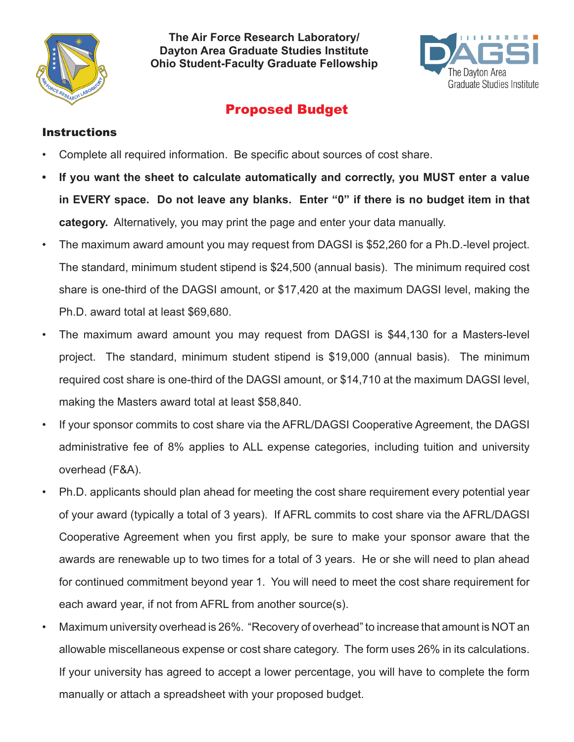

**The Air Force Research Laboratory/ Dayton Area Graduate Studies Institute Ohio Student-Faculty Graduate Fellowship**



## Proposed Budget

## **Instructions**

- Complete all required information. Be specific about sources of cost share.
- **• If you want the sheet to calculate automatically and correctly, you MUST enter a value in EVERY space. Do not leave any blanks. Enter "0" if there is no budget item in that category.** Alternatively, you may print the page and enter your data manually.
- The maximum award amount you may request from DAGSI is \$52,260 for a Ph.D.-level project. The standard, minimum student stipend is \$24,500 (annual basis). The minimum required cost share is one-third of the DAGSI amount, or \$17,420 at the maximum DAGSI level, making the Ph.D. award total at least \$69,680.
- The maximum award amount you may request from DAGSI is \$44,130 for a Masters-level project. The standard, minimum student stipend is \$19,000 (annual basis). The minimum required cost share is one-third of the DAGSI amount, or \$14,710 at the maximum DAGSI level, making the Masters award total at least \$58,840.
- If your sponsor commits to cost share via the AFRL/DAGSI Cooperative Agreement, the DAGSI administrative fee of 8% applies to ALL expense categories, including tuition and university overhead (F&A).
- Ph.D. applicants should plan ahead for meeting the cost share requirement every potential year of your award (typically a total of 3 years). If AFRL commits to cost share via the AFRL/DAGSI Cooperative Agreement when you first apply, be sure to make your sponsor aware that the awards are renewable up to two times for a total of 3 years. He or she will need to plan ahead for continued commitment beyond year 1. You will need to meet the cost share requirement for each award year, if not from AFRL from another source(s).
- Maximum university overhead is 26%. "Recovery of overhead" to increase that amount is NOT an allowable miscellaneous expense or cost share category. The form uses 26% in its calculations. If your university has agreed to accept a lower percentage, you will have to complete the form manually or attach a spreadsheet with your proposed budget.